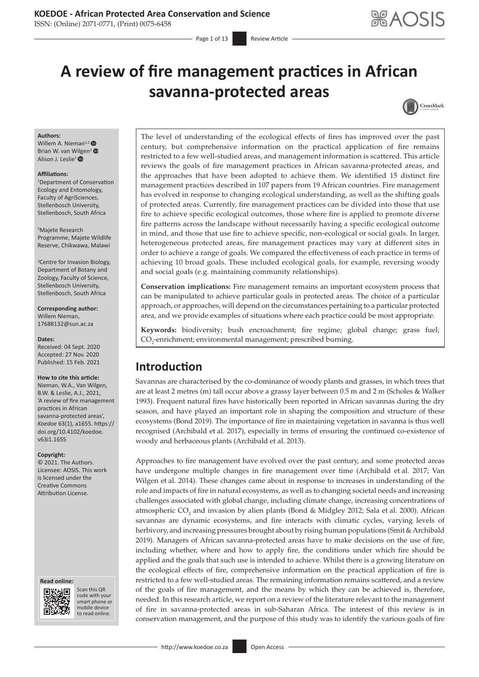# **KOEDOE - African Protected Area Conservation and Science**

ISSN: (Online) 2071-0771, (Print) 0075-6458

- Page 1 of 13 Review Article

# **A review of fire management practices in African savanna-protected areas**



#### **Authors:**

Willem A. Nieman<sup>1,[2](https://orcid.org/0000-0001-9669-8797)</sup> Brian W. van Wilgen<sup>[3](https://orcid.org/0000-0002-1536-7521)</sup> Alison J. Leslie<sup>[1](https://orcid.org/0000-0003-1683-0474)</sup> ®

#### **Affiliations:**

1 Department of Conservation Ecology and Entomology, Faculty of AgriSciences, Stellenbosch University, Stellenbosch, South Africa

2 Majete Research Programme, Majete Wildlife Reserve, Chikwawa, Malawi

3 Centre for Invasion Biology, Department of Botany and Zoology, Faculty of Science, Stellenbosch University, Stellenbosch, South Africa

**Corresponding author:** Willem Nieman, [17688132@sun.ac.za](mailto:17688132@sun.ac.za)

#### **Dates:**

Received: 04 Sept. 2020 Accepted: 27 Nov. 2020 Published: 15 Feb. 2021

#### **How to cite this article:**

Nieman, W.A., Van Wilgen, B.W. & Leslie, A.J., 2021, 'A review of fire management practices in African savanna-protected areas', *Koedoe* 63(1), a1655. [https://](https://doi.org/10.4102/koedoe.v63i1.1655) [doi.org/10.4102/koedoe.](https://doi.org/10.4102/koedoe.v63i1.1655) [v63i1.1655](https://doi.org/10.4102/koedoe.v63i1.1655)

#### **Copyright:**

© 2021. The Authors. Licensee: AOSIS. This work is licensed under the Creative Commons Attribution License.

#### **Read online: Read online:**



Scan this QR code with your Scan this QR<br>code with your<br>smart phone or<br>mobile device mobile device to read online. to read online.

The level of understanding of the ecological effects of fires has improved over the past century, but comprehensive information on the practical application of fire remains restricted to a few well-studied areas, and management information is scattered. This article reviews the goals of fire management practices in African savanna-protected areas, and the approaches that have been adopted to achieve them. We identified 15 distinct fire management practices described in 107 papers from 19 African countries. Fire management has evolved in response to changing ecological understanding, as well as the shifting goals of protected areas. Currently, fire management practices can be divided into those that use fire to achieve specific ecological outcomes, those where fire is applied to promote diverse fire patterns across the landscape without necessarily having a specific ecological outcome in mind, and those that use fire to achieve specific, non-ecological or social goals. In larger, heterogeneous protected areas, fire management practices may vary at different sites in order to achieve a range of goals. We compared the effectiveness of each practice in terms of achieving 10 broad goals. These included ecological goals, for example, reversing woody and social goals (e.g. maintaining community relationships).

**Conservation implications:** Fire management remains an important ecosystem process that can be manipulated to achieve particular goals in protected areas. The choice of a particular approach, or approaches, will depend on the circumstances pertaining to a particular protected area, and we provide examples of situations where each practice could be most appropriate.

**Keywords:** biodiversity; bush encroachment; fire regime; global change; grass fuel;  $\mathrm{CO}_2$ -enrichment; environmental management; prescribed burning.

# **Introduction**

Savannas are characterised by the co-dominance of woody plants and grasses, in which trees that are at least 2 metres (m) tall occur above a grassy layer between 0.5 m and 2 m (Scholes & Walker 1993). Frequent natural fires have historically been reported in African savannas during the dry season, and have played an important role in shaping the composition and structure of these ecosystems (Bond 2019). The importance of fire in maintaining vegetation in savanna is thus well recognised (Archibald et al. 2017), especially in terms of ensuring the continued co-existence of woody and herbaceous plants (Archibald et al. 2013).

Approaches to fire management have evolved over the past century, and some protected areas have undergone multiple changes in fire management over time (Archibald et al. 2017; Van Wilgen et al. 2014). These changes came about in response to increases in understanding of the role and impacts of fire in natural ecosystems, as well as to changing societal needs and increasing challenges associated with global change, including climate change, increasing concentrations of atmospheric  $CO_2$  and invasion by alien plants (Bond & Midgley 2012; Sala et al. 2000). African savannas are dynamic ecosystems, and fire interacts with climatic cycles, varying levels of herbivory, and increasing pressures brought about by rising human populations (Smit & Archibald 2019). Managers of African savanna-protected areas have to make decisions on the use of fire, including whether, where and how to apply fire, the conditions under which fire should be applied and the goals that such use is intended to achieve. Whilst there is a growing literature on the ecological effects of fire, comprehensive information on the practical application of fire is restricted to a few well-studied areas. The remaining information remains scattered, and a review of the goals of fire management, and the means by which they can be achieved is, therefore, needed. In this research article, we report on a review of the literature relevant to the management of fire in savanna-protected areas in sub-Saharan Africa. The interest of this review is in conservation management, and the purpose of this study was to identify the various goals of fire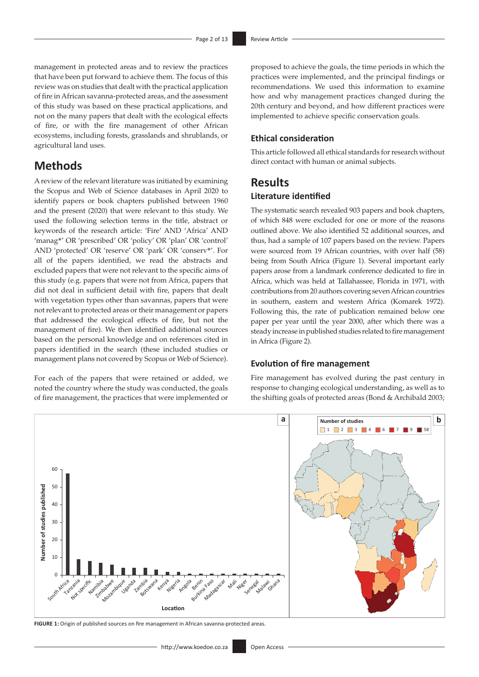management in protected areas and to review the practices that have been put forward to achieve them. The focus of this review was on studies that dealt with the practical application of fire in African savanna-protected areas, and the assessment of this study was based on these practical applications, and not on the many papers that dealt with the ecological effects of fire, or with the fire management of other African ecosystems, including forests, grasslands and shrublands, or agricultural land uses.

# **Methods**

A review of the relevant literature was initiated by examining the Scopus and Web of Science databases in April 2020 to identify papers or book chapters published between 1960 and the present (2020) that were relevant to this study. We used the following selection terms in the title, abstract or keywords of the research article: 'Fire' AND 'Africa' AND 'manag\*' OR 'prescribed' OR 'policy' OR 'plan' OR 'control' AND 'protected' OR 'reserve' OR 'park' OR 'conserv\*'. For all of the papers identified, we read the abstracts and excluded papers that were not relevant to the specific aims of this study (e.g. papers that were not from Africa, papers that did not deal in sufficient detail with fire, papers that dealt with vegetation types other than savannas, papers that were not relevant to protected areas or their management or papers that addressed the ecological effects of fire, but not the management of fire). We then identified additional sources based on the personal knowledge and on references cited in papers identified in the search (these included studies or management plans not covered by Scopus or Web of Science).

For each of the papers that were retained or added, we noted the country where the study was conducted, the goals of fire management, the practices that were implemented or proposed to achieve the goals, the time periods in which the practices were implemented, and the principal findings or recommendations. We used this information to examine how and why management practices changed during the 20th century and beyond, and how different practices were implemented to achieve specific conservation goals.

# **Ethical consideration**

This article followed all ethical standards for research without direct contact with human or animal subjects.

# **Results Literature identified**

The systematic search revealed 903 papers and book chapters, of which 848 were excluded for one or more of the reasons outlined above. We also identified 52 additional sources, and thus, had a sample of 107 papers based on the review. Papers were sourced from 19 African countries, with over half (58) being from South Africa (Figure 1). Several important early papers arose from a landmark conference dedicated to fire in Africa, which was held at Tallahassee, Florida in 1971, with contributions from 20 authors covering seven African countries in southern, eastern and western Africa (Komarek 1972). Following this, the rate of publication remained below one paper per year until the year 2000, after which there was a steady increase in published studies related to fire management in Africa (Figure 2).

# **Evolution of fire management**

Fire management has evolved during the past century in response to changing ecological understanding, as well as to the shifting goals of protected areas (Bond & Archibald 2003;



**FIGURE 1:** Origin of published sources on fire management in African savanna-protected areas.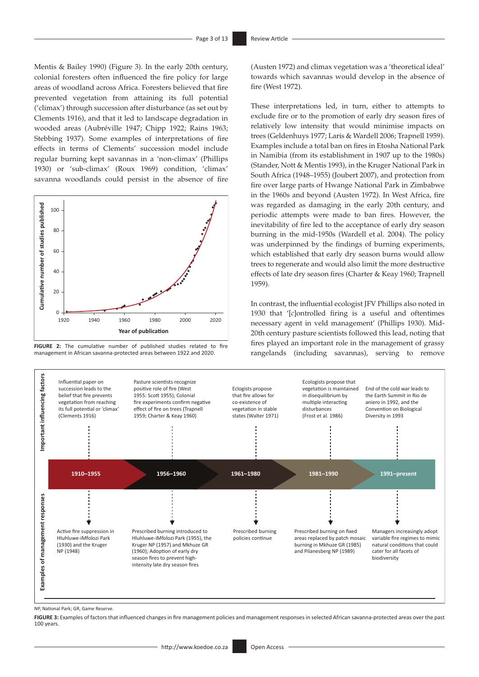Mentis & Bailey 1990) (Figure 3). In the early 20th century, colonial foresters often influenced the fire policy for large areas of woodland across Africa. Foresters believed that fire prevented vegetation from attaining its full potential ('climax') through succession after disturbance (as set out by Clements 1916), and that it led to landscape degradation in wooded areas (Aubréville 1947; Chipp 1922; Rains 1963; Stebbing 1937). Some examples of interpretations of fire effects in terms of Clements' succession model include regular burning kept savannas in a 'non-climax' (Phillips 1930) or 'sub-climax' (Roux 1969) condition, 'climax' savanna woodlands could persist in the absence of fire



**FIGURE 2:** The cumulative number of published studies related to fire management in African savanna-protected areas between 1922 and 2020.

(Austen 1972) and climax vegetation was a 'theoretical ideal' towards which savannas would develop in the absence of fire (West 1972).

These interpretations led, in turn, either to attempts to exclude fire or to the promotion of early dry season fires of relatively low intensity that would minimise impacts on trees (Geldenhuys 1977; Laris & Wardell 2006; Trapnell 1959). Examples include a total ban on fires in Etosha National Park in Namibia (from its establishment in 1907 up to the 1980s) (Stander, Nott & Mentis 1993), in the Kruger National Park in South Africa (1948–1955) (Joubert 2007), and protection from fire over large parts of Hwange National Park in Zimbabwe in the 1960s and beyond (Austen 1972). In West Africa, fire was regarded as damaging in the early 20th century, and periodic attempts were made to ban fires. However, the inevitability of fire led to the acceptance of early dry season burning in the mid-1950s (Wardell et al. 2004). The policy was underpinned by the findings of burning experiments, which established that early dry season burns would allow trees to regenerate and would also limit the more destructive effects of late dry season fires (Charter & Keay 1960; Trapnell 1959).

In contrast, the influential ecologist JFV Phillips also noted in 1930 that '[*c*]ontrolled firing is a useful and oftentimes necessary agent in veld management' (Phillips 1930). Mid-20th century pasture scientists followed this lead, noting that fires played an important role in the management of grassy rangelands (including savannas), serving to remove



NP, National Park; GR, Game Reserve.

FIGURE 3: Examples of factors that influenced changes in fire management policies and management responses in selected African savanna-protected areas over the past 100 years.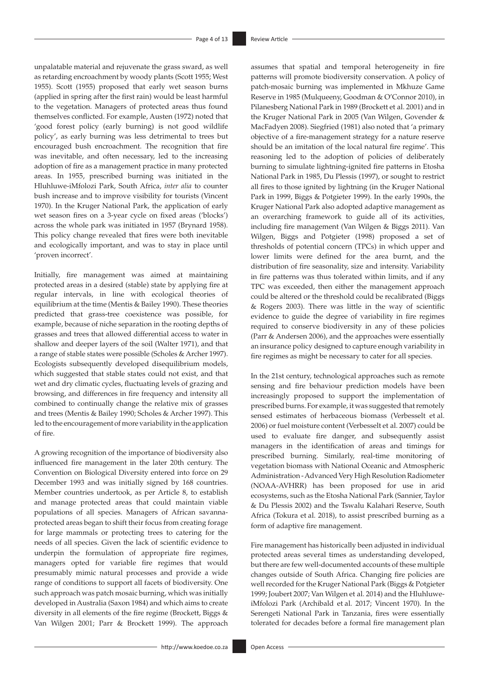unpalatable material and rejuvenate the grass sward, as well as retarding encroachment by woody plants (Scott 1955; West 1955). Scott (1955) proposed that early wet season burns (applied in spring after the first rain) would be least harmful to the vegetation. Managers of protected areas thus found themselves conflicted. For example, Austen (1972) noted that 'good forest policy (early burning) is not good wildlife policy', as early burning was less detrimental to trees but encouraged bush encroachment. The recognition that fire was inevitable, and often necessary, led to the increasing adoption of fire as a management practice in many protected areas. In 1955, prescribed burning was initiated in the Hluhluwe-iMfolozi Park, South Africa, *inter alia* to counter bush increase and to improve visibility for tourists (Vincent 1970). In the Kruger National Park, the application of early wet season fires on a 3-year cycle on fixed areas ('blocks') across the whole park was initiated in 1957 (Brynard 1958). This policy change revealed that fires were both inevitable and ecologically important, and was to stay in place until 'proven incorrect'.

Initially, fire management was aimed at maintaining protected areas in a desired (stable) state by applying fire at regular intervals, in line with ecological theories of equilibrium at the time (Mentis & Bailey 1990). These theories predicted that grass-tree coexistence was possible, for example, because of niche separation in the rooting depths of grasses and trees that allowed differential access to water in shallow and deeper layers of the soil (Walter 1971), and that a range of stable states were possible (Scholes & Archer 1997). Ecologists subsequently developed disequilibrium models, which suggested that stable states could not exist, and that wet and dry climatic cycles, fluctuating levels of grazing and browsing, and differences in fire frequency and intensity all combined to continually change the relative mix of grasses and trees (Mentis & Bailey 1990; Scholes & Archer 1997). This led to the encouragement of more variability in the application of fire.

A growing recognition of the importance of biodiversity also influenced fire management in the later 20th century. The Convention on Biological Diversity entered into force on 29 December 1993 and was initially signed by 168 countries. Member countries undertook, as per Article 8, to establish and manage protected areas that could maintain viable populations of all species. Managers of African savannaprotected areas began to shift their focus from creating forage for large mammals or protecting trees to catering for the needs of all species. Given the lack of scientific evidence to underpin the formulation of appropriate fire regimes, managers opted for variable fire regimes that would presumably mimic natural processes and provide a wide range of conditions to support all facets of biodiversity. One such approach was patch mosaic burning, which was initially developed in Australia (Saxon 1984) and which aims to create diversity in all elements of the fire regime (Brockett, Biggs & Van Wilgen 2001; Parr & Brockett 1999). The approach

assumes that spatial and temporal heterogeneity in fire patterns will promote biodiversity conservation. A policy of patch-mosaic burning was implemented in Mkhuze Game Reserve in 1985 (Mulqueeny, Goodman & O'Connor 2010), in Pilanesberg National Park in 1989 (Brockett et al. 2001) and in the Kruger National Park in 2005 (Van Wilgen, Govender & MacFadyen 2008). Siegfried (1981) also noted that 'a primary objective of a fire-management strategy for a nature reserve should be an imitation of the local natural fire regime'. This reasoning led to the adoption of policies of deliberately burning to simulate lightning-ignited fire patterns in Etosha National Park in 1985, Du Plessis (1997), or sought to restrict all fires to those ignited by lightning (in the Kruger National Park in 1999, Biggs & Potgieter 1999). In the early 1990s, the Kruger National Park also adopted adaptive management as an overarching framework to guide all of its activities, including fire management (Van Wilgen & Biggs 2011). Van Wilgen, Biggs and Potgieter (1998) proposed a set of thresholds of potential concern (TPCs) in which upper and lower limits were defined for the area burnt, and the distribution of fire seasonality, size and intensity. Variability in fire patterns was thus tolerated within limits, and if any TPC was exceeded, then either the management approach could be altered or the threshold could be recalibrated (Biggs & Rogers 2003). There was little in the way of scientific evidence to guide the degree of variability in fire regimes required to conserve biodiversity in any of these policies (Parr & Andersen 2006), and the approaches were essentially an insurance policy designed to capture enough variability in fire regimes as might be necessary to cater for all species.

In the 21st century, technological approaches such as remote sensing and fire behaviour prediction models have been increasingly proposed to support the implementation of prescribed burns. For example, it was suggested that remotely sensed estimates of herbaceous biomass (Verbesselt et al. 2006) or fuel moisture content (Verbesselt et al. 2007) could be used to evaluate fire danger, and subsequently assist managers in the identification of areas and timings for prescribed burning. Similarly, real-time monitoring of vegetation biomass with National Oceanic and Atmospheric Administration - Advanced Very High Resolution Radiometer (NOAA-AVHRR) has been proposed for use in arid ecosystems, such as the Etosha National Park (Sannier, Taylor & Du Plessis 2002) and the Tswalu Kalahari Reserve, South Africa (Tokura et al. 2018), to assist prescribed burning as a form of adaptive fire management.

Fire management has historically been adjusted in individual protected areas several times as understanding developed, but there are few well-documented accounts of these multiple changes outside of South Africa. Changing fire policies are well recorded for the Kruger National Park (Biggs & Potgieter 1999; Joubert 2007; Van Wilgen et al. 2014) and the HluhluweiMfolozi Park (Archibald et al. 2017; Vincent 1970). In the Serengeti National Park in Tanzania, fires were essentially tolerated for decades before a formal fire management plan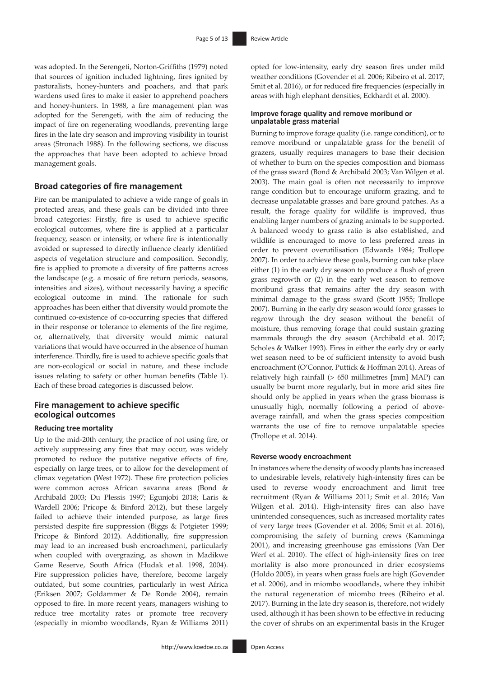was adopted. In the Serengeti, Norton-Griffiths (1979) noted that sources of ignition included lightning, fires ignited by pastoralists, honey-hunters and poachers, and that park wardens used fires to make it easier to apprehend poachers and honey-hunters. In 1988, a fire management plan was adopted for the Serengeti, with the aim of reducing the impact of fire on regenerating woodlands, preventing large fires in the late dry season and improving visibility in tourist areas (Stronach 1988). In the following sections, we discuss the approaches that have been adopted to achieve broad management goals.

## **Broad categories of fire management**

Fire can be manipulated to achieve a wide range of goals in protected areas, and these goals can be divided into three broad categories: Firstly, fire is used to achieve specific ecological outcomes, where fire is applied at a particular frequency, season or intensity, or where fire is intentionally avoided or supressed to directly influence clearly identified aspects of vegetation structure and composition. Secondly, fire is applied to promote a diversity of fire patterns across the landscape (e.g. a mosaic of fire return periods, seasons, intensities and sizes), without necessarily having a specific ecological outcome in mind. The rationale for such approaches has been either that diversity would promote the continued co-existence of co-occurring species that differed in their response or tolerance to elements of the fire regime, or, alternatively, that diversity would mimic natural variations that would have occurred in the absence of human interference. Thirdly, fire is used to achieve specific goals that are non-ecological or social in nature, and these include issues relating to safety or other human benefits (Table 1). Each of these broad categories is discussed below.

## **Fire management to achieve specific ecological outcomes**

#### **Reducing tree mortality**

Up to the mid-20th century, the practice of not using fire, or actively suppressing any fires that may occur, was widely promoted to reduce the putative negative effects of fire, especially on large trees, or to allow for the development of climax vegetation (West 1972). These fire protection policies were common across African savanna areas (Bond & Archibald 2003; Du Plessis 1997; Egunjobi 2018; Laris & Wardell 2006; Pricope & Binford 2012), but these largely failed to achieve their intended purpose, as large fires persisted despite fire suppression (Biggs & Potgieter 1999; Pricope & Binford 2012). Additionally, fire suppression may lead to an increased bush encroachment, particularly when coupled with overgrazing, as shown in Madikwe Game Reserve, South Africa (Hudak et al. 1998, 2004). Fire suppression policies have, therefore, become largely outdated, but some countries, particularly in west Africa (Eriksen 2007; Goldammer & De Ronde 2004), remain opposed to fire. In more recent years, managers wishing to reduce tree mortality rates or promote tree recovery (especially in miombo woodlands, Ryan & Williams 2011) opted for low-intensity, early dry season fires under mild weather conditions (Govender et al. 2006; Ribeiro et al. 2017; Smit et al. 2016), or for reduced fire frequencies (especially in areas with high elephant densities; Eckhardt et al. 2000).

#### **Improve forage quality and remove moribund or unpalatable grass material**

Burning to improve forage quality (i.e. range condition), or to remove moribund or unpalatable grass for the benefit of grazers, usually requires managers to base their decision of whether to burn on the species composition and biomass of the grass sward (Bond & Archibald 2003; Van Wilgen et al. 2003). The main goal is often not necessarily to improve range condition but to encourage uniform grazing, and to decrease unpalatable grasses and bare ground patches. As a result, the forage quality for wildlife is improved, thus enabling larger numbers of grazing animals to be supported. A balanced woody to grass ratio is also established, and wildlife is encouraged to move to less preferred areas in order to prevent overutilisation (Edwards 1984; Trollope 2007). In order to achieve these goals, burning can take place either (1) in the early dry season to produce a flush of green grass regrowth or (2) in the early wet season to remove moribund grass that remains after the dry season with minimal damage to the grass sward (Scott 1955; Trollope 2007). Burning in the early dry season would force grasses to regrow through the dry season without the benefit of moisture, thus removing forage that could sustain grazing mammals through the dry season (Archibald et al. 2017; Scholes & Walker 1993). Fires in either the early dry or early wet season need to be of sufficient intensity to avoid bush encroachment (O'Connor, Puttick & Hoffman 2014). Areas of relatively high rainfall (> 650 millimetres [mm] MAP) can usually be burnt more regularly, but in more arid sites fire should only be applied in years when the grass biomass is unusually high, normally following a period of aboveaverage rainfall, and when the grass species composition warrants the use of fire to remove unpalatable species (Trollope et al. 2014).

#### **Reverse woody encroachment**

In instances where the density of woody plants has increased to undesirable levels, relatively high-intensity fires can be used to reverse woody encroachment and limit tree recruitment (Ryan & Williams 2011; Smit et al. 2016; Van Wilgen et al. 2014). High-intensity fires can also have unintended consequences, such as increased mortality rates of very large trees (Govender et al. 2006; Smit et al. 2016), compromising the safety of burning crews (Kamminga 2001), and increasing greenhouse gas emissions (Van Der Werf et al. 2010). The effect of high-intensity fires on tree mortality is also more pronounced in drier ecosystems (Holdo 2005), in years when grass fuels are high (Govender et al. 2006), and in miombo woodlands, where they inhibit the natural regeneration of miombo trees (Ribeiro et al. 2017). Burning in the late dry season is, therefore, not widely used, although it has been shown to be effective in reducing the cover of shrubs on an experimental basis in the Kruger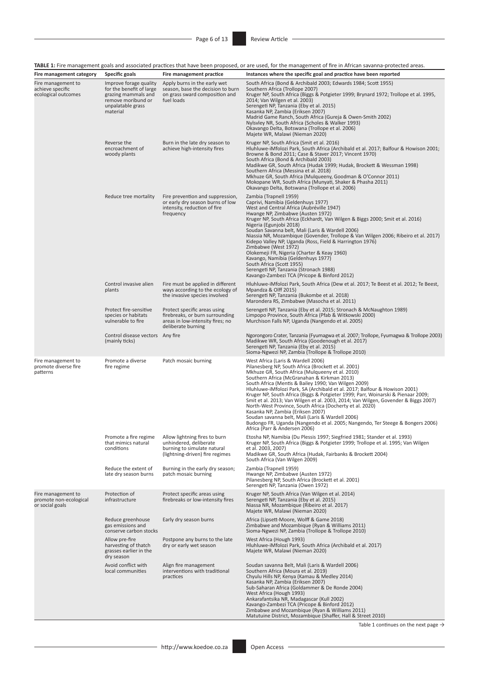| Fire management category                                        | Specific goals                                                                                                                                                                                   | Fire management practice                                                                                          | <b>TABLE 1:</b> Fire management goals and associated practices that have been proposed, or are used, for the management of fire in African savanna-protected areas.<br>Instances where the specific goal and practice have been reported                                                                                                                                                                                                                                                                                                                                                                                                                                                                                                                                            |  |  |  |  |
|-----------------------------------------------------------------|--------------------------------------------------------------------------------------------------------------------------------------------------------------------------------------------------|-------------------------------------------------------------------------------------------------------------------|-------------------------------------------------------------------------------------------------------------------------------------------------------------------------------------------------------------------------------------------------------------------------------------------------------------------------------------------------------------------------------------------------------------------------------------------------------------------------------------------------------------------------------------------------------------------------------------------------------------------------------------------------------------------------------------------------------------------------------------------------------------------------------------|--|--|--|--|
| Fire management to                                              | Improve forage quality                                                                                                                                                                           | Apply burns in the early wet                                                                                      | South Africa (Bond & Archibald 2003; Edwards 1984; Scott 1955)                                                                                                                                                                                                                                                                                                                                                                                                                                                                                                                                                                                                                                                                                                                      |  |  |  |  |
| achieve specific<br>ecological outcomes                         | for the benefit of large<br>grazing mammals and<br>remove moribund or<br>unpalatable grass<br>material                                                                                           | season, base the decision to burn<br>on grass sward composition and<br>fuel loads                                 | Southern Africa (Trollope 2007)<br>Kruger NP, South Africa (Biggs & Potgieter 1999; Brynard 1972; Trollope et al. 1995,<br>2014; Van Wilgen et al. 2003)<br>Serengeti NP, Tanzania (Eby et al. 2015)<br>Kasanka NP, Zambia (Eriksen 2007)<br>Madrid Game Ranch, South Africa (Gureja & Owen-Smith 2002)<br>Nylsvley NR, South Africa (Scholes & Walker 1993)<br>Okavango Delta, Botswana (Trollope et al. 2006)<br>Majete WR, Malawi (Nieman 2020)                                                                                                                                                                                                                                                                                                                                  |  |  |  |  |
|                                                                 | Reverse the<br>encroachment of<br>woody plants                                                                                                                                                   | Burn in the late dry season to<br>achieve high-intensity fires                                                    | Kruger NP, South Africa (Smit et al. 2016)<br>Hluhluwe-iMfolozi Park, South Africa (Archibald et al. 2017; Balfour & Howison 2001;<br>Browne & Bond 2011; Case & Staver 2017; Vincent 1970)<br>South Africa (Bond & Archibald 2003)<br>Madikwe GR, South Africa (Hudak 1999; Hudak, Brockett & Wessman 1998)<br>Southern Africa (Messina et al. 2018)<br>Mkhuze GR, South Africa (Mulqueeny, Goodman & O'Connor 2011)<br>Mokopane WR, South Africa (Munyati, Shaker & Phasha 2011)<br>Okavango Delta, Botswana (Trollope et al. 2006)                                                                                                                                                                                                                                               |  |  |  |  |
|                                                                 | Reduce tree mortality                                                                                                                                                                            | Fire prevention and suppression,<br>or early dry season burns of low<br>intensity, reduction of fire<br>frequency | Zambia (Trapnell 1959)<br>Caprivi, Namibia (Geldenhuys 1977)<br>West and Central Africa (Aubréville 1947)<br>Hwange NP, Zimbabwe (Austen 1972)<br>Kruger NP, South Africa (Eckhardt, Van Wilgen & Biggs 2000; Smit et al. 2016)<br>Nigeria (Egunjobi 2018)<br>Soudan Savanna belt, Mali (Laris & Wardell 2006)<br>Niassia NR, Mozambique (Govender, Trollope & Van Wilgen 2006; Ribeiro et al. 2017)<br>Kidepo Valley NP, Uganda (Ross, Field & Harrington 1976)<br>Zimbabwe (West 1972)<br>Olokemeji FR, Nigeria (Charter & Keay 1960)<br>Kavango, Namibia (Geldenhuys 1977)<br>South Africa (Scott 1955)<br>Serengeti NP, Tanzania (Stronach 1988)<br>Kavango-Zambezi TCA (Pricope & Binford 2012)                                                                                |  |  |  |  |
|                                                                 | Fire must be applied in different<br>Control invasive alien<br>ways according to the ecology of<br>plants<br>the invasive species involved                                                       |                                                                                                                   | Hluhluwe-iMfolozi Park, South Africa (Dew et al. 2017; Te Beest et al. 2012; Te Beest,<br>Mpandza & Olff 2015)<br>Serengeti NP, Tanzania (Bukombe et al. 2018)<br>Marondera RS, Zimbabwe (Masocha et al. 2011)                                                                                                                                                                                                                                                                                                                                                                                                                                                                                                                                                                      |  |  |  |  |
|                                                                 | Protect fire-sensitive<br>Protect specific areas using<br>species or habitats<br>firebreaks, or burn surrounding<br>vulnerable to fire<br>areas in low-intensity fires; no<br>deliberate burning |                                                                                                                   | Serengeti NP, Tanzania (Eby et al. 2015; Stronach & McNaughton 1989)<br>Limpopo Province, South Africa (Pfab & Witkowski 2000)<br>Murchison Falls NP, Uganda (Nangendo et al. 2005)                                                                                                                                                                                                                                                                                                                                                                                                                                                                                                                                                                                                 |  |  |  |  |
|                                                                 | Control disease vectors Any fire<br>(mainly ticks)                                                                                                                                               |                                                                                                                   | Ngorongoro Crater, Tanzania (Fyumagwa et al. 2007; Trollope, Fyumagwa & Trollope 2003)<br>Madikwe WR, South Africa (Goodenough et al. 2017)<br>Serengeti NP, Tanzania (Eby et al. 2015)<br>Sioma-Ngwezi NP, Zambia (Trollope & Trollope 2010)                                                                                                                                                                                                                                                                                                                                                                                                                                                                                                                                       |  |  |  |  |
| Fire management to<br>promote diverse fire<br>patterns          | Promote a diverse<br>fire regime                                                                                                                                                                 | Patch mosaic burning                                                                                              | West Africa (Laris & Wardell 2006)<br>Pilanesberg NP, South Africa (Brockett et al. 2001)<br>Mkhuze GR, South Africa (Mulqueeny et al. 2010)<br>Southern Africa (McGranahan & Kirkman 2013)<br>South Africa (Mentis & Bailey 1990; Van Wilgen 2009)<br>Hluhluwe-iMfolozi Park, SA (Archibald et al. 2017; Balfour & Howison 2001)<br>Kruger NP, South Africa (Biggs & Potgieter 1999; Parr, Woinarski & Pienaar 2009;<br>Smit et al. 2013; Van Wilgen et al. 2003, 2014; Van Wilgen, Govender & Biggs 2007)<br>North-West Province, South Africa (Docherty et al. 2020)<br>Kasanka NP, Zambia (Eriksen 2007)<br>Soudan savanna belt, Mali (Laris & Wardell 2006)<br>Budongo FR, Uganda (Nangendo et al. 2005; Nangendo, Ter Steege & Bongers 2006)<br>Africa (Parr & Andersen 2006) |  |  |  |  |
|                                                                 | Promote a fire regime<br>Allow lightning fires to burn<br>that mimics natural<br>unhindered, deliberate<br>conditions<br>burning to simulate natural<br>(lightning-driven) fire regimes          |                                                                                                                   | Etosha NP, Namibia (Du Plessis 1997; Siegfried 1981; Stander et al. 1993)<br>Kruger NP, South Africa (Biggs & Potgieter 1999; Trollope et al. 1995; Van Wilgen<br>et al. 2003. 2007)<br>Madikwe GR, South Africa (Hudak, Fairbanks & Brockett 2004)<br>South Africa (Van Wilgen 2009)                                                                                                                                                                                                                                                                                                                                                                                                                                                                                               |  |  |  |  |
|                                                                 | Reduce the extent of<br>late dry season burns                                                                                                                                                    | Burning in the early dry season;<br>patch mosaic burning                                                          | Zambia (Trapnell 1959)<br>Hwange NP, Zimbabwe (Austen 1972)<br>Pilanesberg NP, South Africa (Brockett et al. 2001)<br>Serengeti NP, Tanzania (Owen 1972)                                                                                                                                                                                                                                                                                                                                                                                                                                                                                                                                                                                                                            |  |  |  |  |
| Fire management to<br>promote non-ecological<br>or social goals | Protection of<br>infrastructure                                                                                                                                                                  | Protect specific areas using<br>firebreaks or low-intensity fires                                                 | Kruger NP, South Africa (Van Wilgen et al. 2014)<br>Serengeti NP, Tanzania (Eby et al. 2015)<br>Niassa NR, Mozambique (Ribeiro et al. 2017)<br>Majete WR, Malawi (Nieman 2020)                                                                                                                                                                                                                                                                                                                                                                                                                                                                                                                                                                                                      |  |  |  |  |
|                                                                 | Reduce greenhouse<br>gas emissions and<br>conserve carbon stocks                                                                                                                                 | Early dry season burns                                                                                            | Africa (Lipsett-Moore, Wolff & Game 2018)<br>Zimbabwe and Mozambique (Ryan & Williams 2011)<br>Sioma-Ngwezi NP, Zambia (Trollope & Trollope 2010)                                                                                                                                                                                                                                                                                                                                                                                                                                                                                                                                                                                                                                   |  |  |  |  |
|                                                                 | Allow pre-fire<br>harvesting of thatch<br>grasses earlier in the<br>dry season                                                                                                                   | Postpone any burns to the late<br>dry or early wet season                                                         | West Africa (Hough 1993)<br>Hluhluwe-iMfolozi Park, South Africa (Archibald et al. 2017)<br>Majete WR, Malawi (Nieman 2020)                                                                                                                                                                                                                                                                                                                                                                                                                                                                                                                                                                                                                                                         |  |  |  |  |
|                                                                 | Avoid conflict with<br>local communities                                                                                                                                                         | Align fire management<br>interventions with traditional<br>practices                                              | Soudan savanna Belt, Mali (Laris & Wardell 2006)<br>Southern Africa (Moura et al. 2019)<br>Chyulu Hills NP, Kenya (Kamau & Medley 2014)<br>Kasanka NP, Zambia (Eriksen 2007)<br>Sub-Saharan Africa (Goldammer & De Ronde 2004)<br>West Africa (Hough 1993)<br>Ankarafantsika NR, Madagascar (Kull 2002)<br>Kavango-Zambezi TCA (Pricope & Binford 2012)<br>Zimbabwe and Mozambique (Ryan & Williams 2011)<br>Matutuine District, Mozambique (Shaffer, Hall & Street 2010)                                                                                                                                                                                                                                                                                                           |  |  |  |  |

Table 1 continues on the next page  $\rightarrow$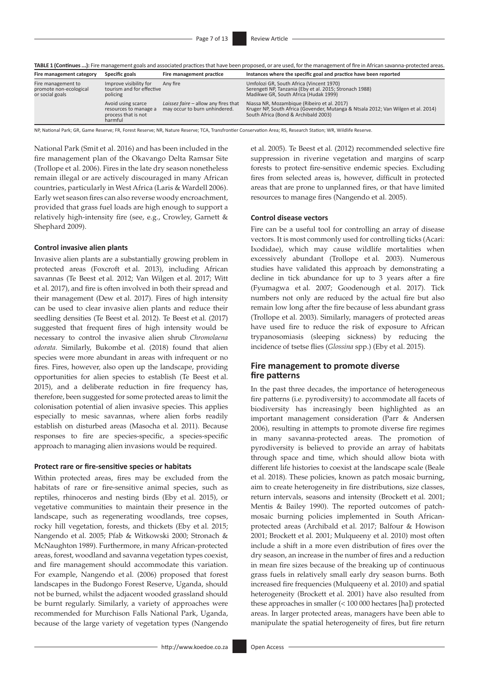| TABLE 1 (Continues ): Fire management goals and associated practices that have been proposed, or are used, for the management of fire in African savanna-protected areas |  |  |
|--------------------------------------------------------------------------------------------------------------------------------------------------------------------------|--|--|
|--------------------------------------------------------------------------------------------------------------------------------------------------------------------------|--|--|

| Specific goals<br>Fire management category                      |                                                                               | Fire management practice                                              | Instances where the specific goal and practice have been reported                                                                                                        |  |  |  |  |
|-----------------------------------------------------------------|-------------------------------------------------------------------------------|-----------------------------------------------------------------------|--------------------------------------------------------------------------------------------------------------------------------------------------------------------------|--|--|--|--|
| Fire management to<br>promote non-ecological<br>or social goals | Improve visibility for<br>Any fire<br>tourism and for effective<br>policing   |                                                                       | Umfolozi GR, South Africa (Vincent 1970)<br>Serengeti NP, Tanzania (Eby et al. 2015; Stronach 1988)<br>Madikwe GR, South Africa (Hudak 1999)                             |  |  |  |  |
|                                                                 | Avoid using scarce<br>resources to manage a<br>process that is not<br>harmful | Laissez faire - allow any fires that<br>may occur to burn unhindered. | Niassa NR, Mozambique (Ribeiro et al. 2017)<br>Kruger NP, South Africa (Govender, Mutanga & Ntsala 2012; Van Wilgen et al. 2014)<br>South Africa (Bond & Archibald 2003) |  |  |  |  |

NP, National Park; GR, Game Reserve; FR, Forest Reserve; NR, Nature Reserve; TCA, Transfrontier Conservation Area; RS, Research Station; WR, Wildlife Reserve.

National Park (Smit et al. 2016) and has been included in the fire management plan of the Okavango Delta Ramsar Site (Trollope et al. 2006). Fires in the late dry season nonetheless remain illegal or are actively discouraged in many African countries, particularly in West Africa (Laris & Wardell 2006). Early wet season fires can also reverse woody encroachment, provided that grass fuel loads are high enough to support a relatively high-intensity fire (see, e.g., Crowley, Garnett & Shephard 2009).

#### **Control invasive alien plants**

Invasive alien plants are a substantially growing problem in protected areas (Foxcroft et al. 2013), including African savannas (Te Beest et al. 2012; Van Wilgen et al. 2017; Witt et al. 2017), and fire is often involved in both their spread and their management (Dew et al. 2017). Fires of high intensity can be used to clear invasive alien plants and reduce their seedling densities (Te Beest et al. 2012). Te Beest et al*.* (2017) suggested that frequent fires of high intensity would be necessary to control the invasive alien shrub *Chromolaena odorata.* Similarly, Bukombe et al. (2018) found that alien species were more abundant in areas with infrequent or no fires. Fires, however, also open up the landscape, providing opportunities for alien species to establish (Te Beest et al. 2015), and a deliberate reduction in fire frequency has, therefore, been suggested for some protected areas to limit the colonisation potential of alien invasive species. This applies especially to mesic savannas, where alien forbs readily establish on disturbed areas (Masocha et al. 2011). Because responses to fire are species-specific, a species-specific approach to managing alien invasions would be required.

#### **Protect rare or fire-sensitive species or habitats**

Within protected areas, fires may be excluded from the habitats of rare or fire-sensitive animal species, such as reptiles, rhinoceros and nesting birds (Eby et al. 2015), or vegetative communities to maintain their presence in the landscape, such as regenerating woodlands, tree copses, rocky hill vegetation, forests, and thickets (Eby et al. 2015; Nangendo et al. 2005; Pfab & Witkowski 2000; Stronach & McNaughton 1989). Furthermore, in many African-protected areas, forest, woodland and savanna vegetation types coexist, and fire management should accommodate this variation. For example, Nangendo et al. (2006) proposed that forest landscapes in the Budongo Forest Reserve, Uganda, should not be burned, whilst the adjacent wooded grassland should be burnt regularly. Similarly, a variety of approaches were recommended for Murchison Falls National Park, Uganda, because of the large variety of vegetation types (Nangendo

et al. 2005). Te Beest et al*.* (2012) recommended selective fire suppression in riverine vegetation and margins of scarp forests to protect fire-sensitive endemic species. Excluding fires from selected areas is, however, difficult in protected areas that are prone to unplanned fires, or that have limited resources to manage fires (Nangendo et al. 2005).

#### **Control disease vectors**

Fire can be a useful tool for controlling an array of disease vectors. It is most commonly used for controlling ticks (Acari: Ixodidae), which may cause wildlife mortalities when excessively abundant (Trollope et al. 2003). Numerous studies have validated this approach by demonstrating a decline in tick abundance for up to 3 years after a fire (Fyumagwa et al. 2007; Goodenough et al. 2017). Tick numbers not only are reduced by the actual fire but also remain low long after the fire because of less abundant grass (Trollope et al. 2003). Similarly, managers of protected areas have used fire to reduce the risk of exposure to African trypanosomiasis (sleeping sickness) by reducing the incidence of tsetse flies (*Glossina* spp.) (Eby et al. 2015).

# **Fire management to promote diverse fire patterns**

In the past three decades, the importance of heterogeneous fire patterns (i.e. pyrodiversity) to accommodate all facets of biodiversity has increasingly been highlighted as an important management consideration (Parr & Andersen 2006), resulting in attempts to promote diverse fire regimes in many savanna-protected areas. The promotion of pyrodiversity is believed to provide an array of habitats through space and time, which should allow biota with different life histories to coexist at the landscape scale (Beale et al. 2018). These policies, known as patch mosaic burning, aim to create heterogeneity in fire distributions, size classes, return intervals, seasons and intensity (Brockett et al. 2001; Mentis & Bailey 1990). The reported outcomes of patchmosaic burning policies implemented in South Africanprotected areas (Archibald et al. 2017; Balfour & Howison 2001; Brockett et al. 2001; Mulqueeny et al. 2010) most often include a shift in a more even distribution of fires over the dry season, an increase in the number of fires and a reduction in mean fire sizes because of the breaking up of continuous grass fuels in relatively small early dry season burns. Both increased fire frequencies (Mulqueeny et al. 2010) and spatial heterogeneity (Brockett et al. 2001) have also resulted from these approaches in smaller (< 100 000 hectares [ha]) protected areas. In larger protected areas, managers have been able to manipulate the spatial heterogeneity of fires, but fire return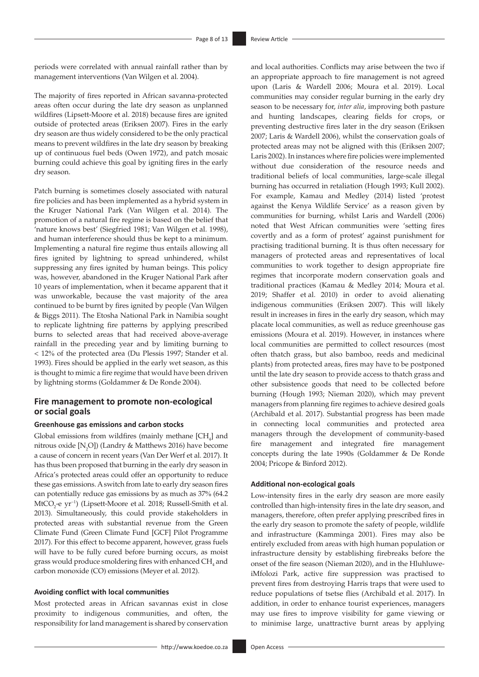periods were correlated with annual rainfall rather than by management interventions (Van Wilgen et al. 2004).

The majority of fires reported in African savanna-protected areas often occur during the late dry season as unplanned wildfires (Lipsett-Moore et al. 2018) because fires are ignited outside of protected areas (Eriksen 2007). Fires in the early dry season are thus widely considered to be the only practical means to prevent wildfires in the late dry season by breaking up of continuous fuel beds (Owen 1972), and patch mosaic burning could achieve this goal by igniting fires in the early dry season.

Patch burning is sometimes closely associated with natural fire policies and has been implemented as a hybrid system in the Kruger National Park (Van Wilgen et al. 2014). The promotion of a natural fire regime is based on the belief that 'nature knows best' (Siegfried 1981; Van Wilgen et al. 1998), and human interference should thus be kept to a minimum. Implementing a natural fire regime thus entails allowing all fires ignited by lightning to spread unhindered, whilst suppressing any fires ignited by human beings. This policy was, however, abandoned in the Kruger National Park after 10 years of implementation, when it became apparent that it was unworkable, because the vast majority of the area continued to be burnt by fires ignited by people (Van Wilgen & Biggs 2011). The Etosha National Park in Namibia sought to replicate lightning fire patterns by applying prescribed burns to selected areas that had received above-average rainfall in the preceding year and by limiting burning to < 12% of the protected area (Du Plessis 1997; Stander et al. 1993). Fires should be applied in the early wet season, as this is thought to mimic a fire regime that would have been driven by lightning storms (Goldammer & De Ronde 2004).

# **Fire management to promote non-ecological or social goals**

#### **Greenhouse gas emissions and carbon stocks**

Global emissions from wildfires (mainly methane  $[CH<sub>4</sub>]$  and nitrous oxide  $[N_2O]$ ) (Landry & Matthews 2016) have become a cause of concern in recent years (Van Der Werf et al. 2017). It has thus been proposed that burning in the early dry season in Africa's protected areas could offer an opportunity to reduce these gas emissions. A switch from late to early dry season fires can potentially reduce gas emissions by as much as 37% (64.2 MtCO<sub>2</sub>-e yr<sup>-1</sup>) (Lipsett-Moore et al. 2018; Russell-Smith et al. 2013). Simultaneously, this could provide stakeholders in protected areas with substantial revenue from the Green Climate Fund (Green Climate Fund [GCF] Pilot Programme 2017). For this effect to become apparent, however, grass fuels will have to be fully cured before burning occurs, as moist grass would produce smoldering fires with enhanced  $\text{CH}_\text{\tiny 4}$  and carbon monoxide (CO) emissions (Meyer et al. 2012).

#### **Avoiding conflict with local communities**

Most protected areas in African savannas exist in close proximity to indigenous communities, and often, the responsibility for land management is shared by conservation an appropriate approach to fire management is not agreed upon (Laris & Wardell 2006; Moura et al. 2019). Local communities may consider regular burning in the early dry season to be necessary for, *inter alia*, improving both pasture and hunting landscapes, clearing fields for crops, or preventing destructive fires later in the dry season (Eriksen 2007; Laris & Wardell 2006), whilst the conservation goals of protected areas may not be aligned with this (Eriksen 2007; Laris 2002). In instances where fire policies were implemented without due consideration of the resource needs and traditional beliefs of local communities, large-scale illegal burning has occurred in retaliation (Hough 1993; Kull 2002). For example, Kamau and Medley (2014) listed 'protest against the Kenya Wildlife Service' as a reason given by communities for burning, whilst Laris and Wardell (2006) noted that West African communities were 'setting fires covertly and as a form of protest' against punishment for practising traditional burning. It is thus often necessary for managers of protected areas and representatives of local communities to work together to design appropriate fire regimes that incorporate modern conservation goals and traditional practices (Kamau & Medley 2014; Moura et al. 2019; Shaffer et al. 2010) in order to avoid alienating indigenous communities (Eriksen 2007). This will likely result in increases in fires in the early dry season, which may placate local communities, as well as reduce greenhouse gas emissions (Moura et al. 2019). However, in instances where local communities are permitted to collect resources (most often thatch grass, but also bamboo, reeds and medicinal plants) from protected areas, fires may have to be postponed until the late dry season to provide access to thatch grass and other subsistence goods that need to be collected before burning (Hough 1993; Nieman 2020), which may prevent managers from planning fire regimes to achieve desired goals (Archibald et al. 2017). Substantial progress has been made in connecting local communities and protected area managers through the development of community-based fire management and integrated fire management concepts during the late 1990s (Goldammer & De Ronde 2004; Pricope & Binford 2012).

and local authorities. Conflicts may arise between the two if

#### **Additional non-ecological goals**

Low-intensity fires in the early dry season are more easily controlled than high-intensity fires in the late dry season, and managers, therefore, often prefer applying prescribed fires in the early dry season to promote the safety of people, wildlife and infrastructure (Kamminga 2001). Fires may also be entirely excluded from areas with high human population or infrastructure density by establishing firebreaks before the onset of the fire season (Nieman 2020), and in the HluhluweiMfolozi Park, active fire suppression was practised to prevent fires from destroying Harris traps that were used to reduce populations of tsetse flies (Archibald et al. 2017). In addition, in order to enhance tourist experiences, managers may use fires to improve visibility for game viewing or to minimise large, unattractive burnt areas by applying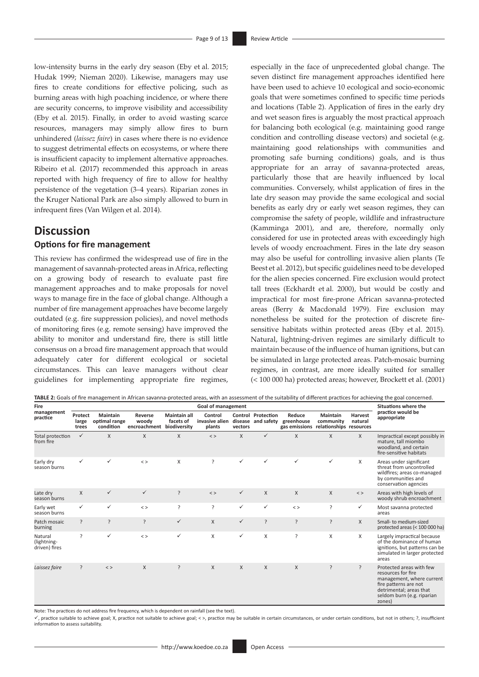low-intensity burns in the early dry season (Eby et al. 2015; Hudak 1999; Nieman 2020). Likewise, managers may use fires to create conditions for effective policing, such as burning areas with high poaching incidence, or where there are security concerns, to improve visibility and accessibility (Eby et al. 2015). Finally, in order to avoid wasting scarce resources, managers may simply allow fires to burn unhindered (*laissez faire*) in cases where there is no evidence to suggest detrimental effects on ecosystems, or where there is insufficient capacity to implement alternative approaches. Ribeiro et al*.* (2017) recommended this approach in areas reported with high frequency of fire to allow for healthy persistence of the vegetation (3–4 years). Riparian zones in the Kruger National Park are also simply allowed to burn in infrequent fires (Van Wilgen et al. 2014).

# **Discussion**

# **Options for fire management**

This review has confirmed the widespread use of fire in the management of savannah-protected areas in Africa, reflecting on a growing body of research to evaluate past fire management approaches and to make proposals for novel ways to manage fire in the face of global change. Although a number of fire management approaches have become largely outdated (e.g. fire suppression policies), and novel methods of monitoring fires (e.g. remote sensing) have improved the ability to monitor and understand fire, there is still little consensus on a broad fire management approach that would adequately cater for different ecological or societal circumstances. This can leave managers without clear guidelines for implementing appropriate fire regimes,

especially in the face of unprecedented global change. The seven distinct fire management approaches identified here have been used to achieve 10 ecological and socio-economic goals that were sometimes confined to specific time periods and locations (Table 2). Application of fires in the early dry and wet season fires is arguably the most practical approach for balancing both ecological (e.g. maintaining good range condition and controlling disease vectors) and societal (e.g. maintaining good relationships with communities and promoting safe burning conditions) goals, and is thus appropriate for an array of savanna-protected areas, particularly those that are heavily influenced by local communities. Conversely, whilst application of fires in the late dry season may provide the same ecological and social benefits as early dry or early wet season regimes, they can compromise the safety of people, wildlife and infrastructure (Kamminga 2001), and are, therefore, normally only considered for use in protected areas with exceedingly high levels of woody encroachment. Fires in the late dry season may also be useful for controlling invasive alien plants (Te Beest et al. 2012), but specific guidelines need to be developed for the alien species concerned. Fire exclusion would protect tall trees (Eckhardt et al. 2000), but would be costly and impractical for most fire-prone African savanna-protected areas (Berry & Macdonald 1979). Fire exclusion may nonetheless be suited for the protection of discrete firesensitive habitats within protected areas (Eby et al. 2015). Natural, lightning-driven regimes are similarly difficult to maintain because of the influence of human ignitions, but can be simulated in large protected areas. Patch-mosaic burning regimes, in contrast, are more ideally suited for smaller (< 100 000 ha) protected areas; however, Brockett et al. (2001)

| Fire<br>management<br>practice          | <b>Goal of management</b> |                                               |                                               |                                  |                                     |              |                                                 |                                       |                                                  | Situations where the      |                                                                                                                                                                         |
|-----------------------------------------|---------------------------|-----------------------------------------------|-----------------------------------------------|----------------------------------|-------------------------------------|--------------|-------------------------------------------------|---------------------------------------|--------------------------------------------------|---------------------------|-------------------------------------------------------------------------------------------------------------------------------------------------------------------------|
|                                         | Protect<br>large<br>trees | <b>Maintain</b><br>optimal range<br>condition | Reverse<br>woodv<br>encroachment biodiversity | <b>Maintain all</b><br>facets of | Control<br>invasive alien<br>plants | vectors      | <b>Control Protection</b><br>disease and safety | Reduce<br>greenhouse<br>gas emissions | Maintain<br>community<br>relationships resources | <b>Harvest</b><br>natural | practice would be<br>appropriate                                                                                                                                        |
| Total protection<br>from fire           | $\checkmark$              | X                                             | X                                             | $\mathsf{X}$                     | $\langle$ >                         | X            | $\checkmark$                                    | X                                     | X                                                | X                         | Impractical except possibly in<br>mature, tall miombo<br>woodland, and certain<br>fire-sensitive habitats                                                               |
| Early dry<br>season burns               | ✓                         |                                               | $\,<$ $>$                                     | X                                | ?                                   | ✓            | ✓                                               | ✓                                     | ✓                                                | X                         | Areas under significant<br>threat from uncontrolled<br>wildfires; areas co-managed<br>by communities and<br>conservation agencies                                       |
| Late dry<br>season burns                | $\times$                  | ✓                                             | $\checkmark$                                  | $\overline{\phantom{a}}$         | $\langle$ >                         | $\checkmark$ | $\times$                                        | X                                     | X                                                | $\langle$ >               | Areas with high levels of<br>woody shrub encroachment                                                                                                                   |
| Early wet<br>season burns               | ✓                         | ✓                                             | $\langle$ >                                   | <sup>2</sup>                     | ?                                   | ✓            | ✓                                               | $\langle$ >                           | ?                                                | ✓                         | Most savanna protected<br>areas                                                                                                                                         |
| Patch mosaic<br>burning                 | ?                         | ŗ                                             | ?                                             | $\checkmark$                     | $\times$                            | $\checkmark$ | ?                                               | $\overline{?}$                        | ?                                                | X                         | Small- to medium-sized<br>protected areas (< 100 000 ha)                                                                                                                |
| Natural<br>(lightning-<br>driven) fires | <sub>?</sub>              | ✓                                             | $\langle$ >                                   | ✓                                | Χ                                   | ✓            | X                                               | ?                                     | Χ                                                | X                         | Largely impractical because<br>of the dominance of human<br>ignitions, but patterns can be<br>simulated in larger protected<br>areas                                    |
| Laissez faire                           | $\overline{?}$            | $\langle$ >                                   | X                                             | ?                                | $\mathsf{X}$                        | X            | $\times$                                        | X                                     | ?                                                | ?                         | Protected areas with few<br>resources for fire<br>management, where current<br>fire patterns are not<br>detrimental; areas that<br>seldom burn (e.g. riparian<br>zones) |

Note: The practices do not address fire frequency, which is dependent on rainfall (see the text).

ü, practice suitable to achieve goal; X, practice not suitable to achieve goal; < >, practice may be suitable in certain circumstances, or under certain conditions, but not in others; ?, insufficient information to assess suitability.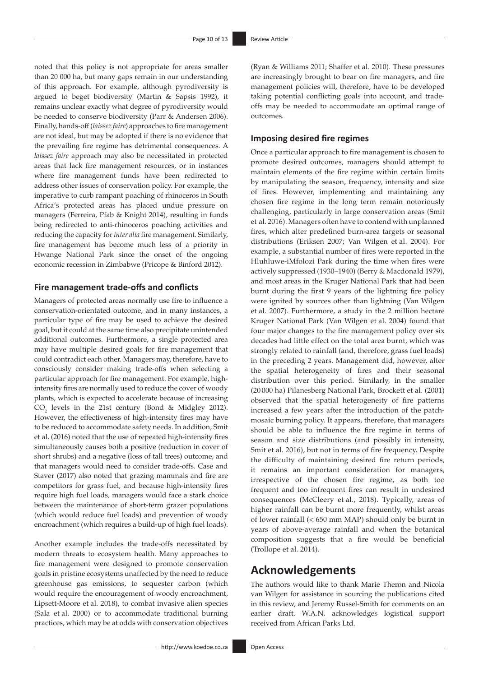noted that this policy is not appropriate for areas smaller than 20 000 ha, but many gaps remain in our understanding of this approach. For example, although pyrodiversity is argued to beget biodiversity (Martin & Sapsis 1992), it remains unclear exactly what degree of pyrodiversity would be needed to conserve biodiversity (Parr & Andersen 2006). Finally, hands-off (*laissez faire*) approaches to fire management are not ideal, but may be adopted if there is no evidence that the prevailing fire regime has detrimental consequences. A *laissez faire* approach may also be necessitated in protected areas that lack fire management resources, or in instances where fire management funds have been redirected to address other issues of conservation policy. For example, the imperative to curb rampant poaching of rhinoceros in South Africa's protected areas has placed undue pressure on managers (Ferreira, Pfab & Knight 2014), resulting in funds being redirected to anti-rhinoceros poaching activities and reducing the capacity for *inter alia* fire management. Similarly, fire management has become much less of a priority in Hwange National Park since the onset of the ongoing economic recession in Zimbabwe (Pricope & Binford 2012).

## **Fire management trade-offs and conflicts**

Managers of protected areas normally use fire to influence a conservation-orientated outcome, and in many instances, a particular type of fire may be used to achieve the desired goal, but it could at the same time also precipitate unintended additional outcomes. Furthermore, a single protected area may have multiple desired goals for fire management that could contradict each other. Managers may, therefore, have to consciously consider making trade-offs when selecting a particular approach for fire management. For example, highintensity fires are normally used to reduce the cover of woody plants, which is expected to accelerate because of increasing  $CO<sub>2</sub>$  levels in the 21st century (Bond & Midgley 2012). However, the effectiveness of high-intensity fires may have to be reduced to accommodate safety needs. In addition, Smit et al. (2016) noted that the use of repeated high-intensity fires simultaneously causes both a positive (reduction in cover of short shrubs) and a negative (loss of tall trees) outcome, and that managers would need to consider trade-offs. Case and Staver (2017) also noted that grazing mammals and fire are competitors for grass fuel, and because high-intensity fires require high fuel loads, managers would face a stark choice between the maintenance of short-term grazer populations (which would reduce fuel loads) and prevention of woody encroachment (which requires a build-up of high fuel loads).

Another example includes the trade-offs necessitated by modern threats to ecosystem health. Many approaches to fire management were designed to promote conservation goals in pristine ecosystems unaffected by the need to reduce greenhouse gas emissions, to sequester carbon (which would require the encouragement of woody encroachment, Lipsett-Moore et al. 2018), to combat invasive alien species (Sala et al. 2000) or to accommodate traditional burning practices, which may be at odds with conservation objectives

(Ryan & Williams 2011; Shaffer et al. 2010). These pressures are increasingly brought to bear on fire managers, and fire management policies will, therefore, have to be developed taking potential conflicting goals into account, and tradeoffs may be needed to accommodate an optimal range of outcomes.

# **Imposing desired fire regimes**

Once a particular approach to fire management is chosen to promote desired outcomes, managers should attempt to maintain elements of the fire regime within certain limits by manipulating the season, frequency, intensity and size of fires. However, implementing and maintaining any chosen fire regime in the long term remain notoriously challenging, particularly in large conservation areas (Smit et al. 2016). Managers often have to contend with unplanned fires, which alter predefined burn-area targets or seasonal distributions (Eriksen 2007; Van Wilgen et al. 2004). For example, a substantial number of fires were reported in the Hluhluwe-iMfolozi Park during the time when fires were actively suppressed (1930–1940) (Berry & Macdonald 1979), and most areas in the Kruger National Park that had been burnt during the first 9 years of the lightning fire policy were ignited by sources other than lightning (Van Wilgen et al. 2007). Furthermore, a study in the 2 million hectare Kruger National Park (Van Wilgen et al. 2004) found that four major changes to the fire management policy over six decades had little effect on the total area burnt, which was strongly related to rainfall (and, therefore, grass fuel loads) in the preceding 2 years. Management did, however, alter the spatial heterogeneity of fires and their seasonal distribution over this period. Similarly, in the smaller (20 000 ha) Pilanesberg National Park, Brockett et al. (2001) observed that the spatial heterogeneity of fire patterns increased a few years after the introduction of the patchmosaic burning policy. It appears, therefore, that managers should be able to influence the fire regime in terms of season and size distributions (and possibly in intensity, Smit et al. 2016), but not in terms of fire frequency. Despite the difficulty of maintaining desired fire return periods, it remains an important consideration for managers, irrespective of the chosen fire regime, as both too frequent and too infrequent fires can result in undesired consequences (McCleery et al., 2018). Typically, areas of higher rainfall can be burnt more frequently, whilst areas of lower rainfall (< 650 mm MAP) should only be burnt in years of above-average rainfall and when the botanical composition suggests that a fire would be beneficial (Trollope et al. 2014).

# **Acknowledgements**

The authors would like to thank Marie Theron and Nicola van Wilgen for assistance in sourcing the publications cited in this review, and Jeremy Russel-Smith for comments on an earlier draft. W.A.N. acknowledges logistical support received from African Parks Ltd.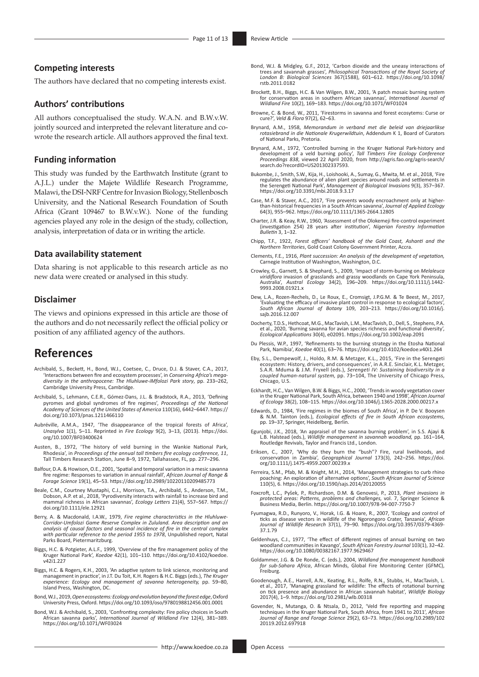# **Competing interests**

The authors have declared that no competing interests exist.

### **Authors' contributions**

All authors conceptualised the study. W.A.N. and B.W.v.W. jointly sourced and interpreted the relevant literature and cowrote the research article. All authors approved the final text.

### **Funding information**

This study was funded by the Earthwatch Institute (grant to A.J.L.) under the Majete Wildlife Research Programme, Malawi, the DSI-NRF Centre for Invasion Biology, Stellenbosch University, and the National Research Foundation of South Africa (Grant 109467 to B.W.v.W.). None of the funding agencies played any role in the design of the study, collection, analysis, interpretation of data or in writing the article.

### **Data availability statement**

Data sharing is not applicable to this research article as no new data were created or analysed in this study.

#### **Disclaimer**

The views and opinions expressed in this article are those of the authors and do not necessarily reflect the official policy or position of any affiliated agency of the authors.

# **References**

- Archibald, S., Beckett, H., Bond, W.J., Coetsee, C., Druce, D.J. & Staver, C.A., 2017, 'Interactions between fire and ecosystem processes', in *Conserving Africa's megadiversity in the anthropocene: The Hluhluwe-iMfolozi Park story*, pp. 233–262, Cambridge University Press, Cambridge.
- Archibald, S., Lehmann, C.E.R., Gómez-Dans, J.L. & Bradstock, R.A., 2013, 'Defining pyromes and global syndromes of fire regimes', *Proceedings of the National Academy of Sciences of the United States of America* 110(16), 6442–6447. [https://](https://doi.org/10.1073/pnas.1211466110) [doi.org/10.1073/pnas.1211466110](https://doi.org/10.1073/pnas.1211466110)
- Aubréville, A.M.A., 1947, 'The disappearance of the tropical forests of Africa', *Unasylva* 1(1), 5–11. Reprinted in *Fire Ecology* 9(2), 3–13, (2013). [https://doi.](https://doi.org/10.1007/BF03400624) [org/10.1007/BF03400624](https://doi.org/10.1007/BF03400624)
- Austen, B., 1972, 'The history of veld burning in the Wankie National Park, Rhodesia', in *Proceedings of the annual tall timbers fire ecology conference, 11*, Tall Timbers Research Station, June 8–9, 1972, Tallahassee, FL, pp. 277–296.
- Balfour, D.A. & Howison, O.E., 2001, 'Spatial and temporal variation in a mesic savanna fire regime: Responses to variation in annual rainfall', *African Journal of Range & Forage Science* 19(1), 45–53. <https://doi.org/10.2989/10220110209485773>
- Beale, C.M., Courtney Mustaphi, C.J., Morrison, T.A., Archibald, S., Anderson, T.M., Dobson, A.P. et al., 2018, 'Pyrodiversity interacts with rainfall to increase bird and mammal richness in African savannas', *Ecology Letters* 21(4), 557–567. [https://](https://doi.org/10.1111/ele.12921) [doi.org/10.1111/ele.12921](https://doi.org/10.1111/ele.12921)
- Berry, A. & Macdonald, I.A.W., 1979, *Fire regime characteristics in the Hluhluwe-Corridor-Umfolozi Game Reserve Complex in Zululand. Area description and an analysis of causal factors and seasonal incidence of fire in the central complex with particular reference to the period 1955 to 1978*, Unpublished report, Natal Parks Board, Pietermaritzburg.
- Biggs, H.C. & Potgieter, A.L.F., 1999, 'Overview of the fire management policy of the Kruger National Park', *Koedoe* 42(1), 101–110. [https://doi.org/10.4102/koedoe.](https://doi.org/10.4102/koedoe.v42i1.227) [v42i1.227](https://doi.org/10.4102/koedoe.v42i1.227)
- Biggs, H.C. & Rogers, K.H., 2003, 'An adaptive system to link science, monitoring and management in practice', in J.T. Du Toit, K.H. Rogers & H.C. Biggs (eds.), *The Kruger experience: Ecology and management of savanna heterogeneity,* pp. 59–80, Island Press, Washington, DC.
- Bond, W.J., 2019, *Open ecosystems: Ecology and evolution beyond the forest edge*, Oxford University Press, Oxford.<https://doi.org/10.1093/oso/9780198812456.001.0001>
- Bond, W.J. & Archibald, S., 2003, 'Confronting complexity: Fire policy choices in South African savanna parks', *International Journal of Wildland Fire* 12(4), 381–389. <https://doi.org/10.1071/WF03024>
- Bond, W.J. & Midgley, G.F., 2012, 'Carbon dioxide and the uneasy interactions of trees and savannah grasses', *Philosophical Transactions of the Royal Society of London B: Biological Sciences* 367(1588), 601–612. [https://doi.org/10.1098/](https://doi.org/10.1098/rstb.2011.0182) [rstb.2011.0182](https://doi.org/10.1098/rstb.2011.0182)
- Brockett, B.H., Biggs, H.C. & Van Wilgen, B.W., 2001, 'A patch mosaic burning system for conservation areas in southern African savannas', *International Journal of Wildland Fire* 10(2), 169–183. <https://doi.org/10.1071/WF01024>
- Browne, C. & Bond, W., 2011, 'Firestorms in savanna and forest ecosytems: Curse or cure?', *Veld & Flora* 97(2), 62–63.
- Brynard, A.M., 1958, *Memorandum in verband met die beleid van driejaarlikse rotasiebrand in die Nationale Krugerwildtuin*, Addendum K 1, Board of Curators of National Parks, Pretoria.
- Brynard, A.M., 1972, 'Controlled burning in the Kruger National Park-history and<br>development of a veld burning policy', Tall Timbers Fire Ecology Conference<br>Proceedings 838, viewed 22 April 2020, from http://agris.fao.org/
- Bukombe, J., Smith, S.W., Kija, H., Loishooki, A., Sumay, G., Mwita, M. et al., 2018, 'Fire regulates the abundance of alien plant species around roads and settlements in the Serengeti National Park', *Management of Biological Invasions* 9(3), 357–367. <https://doi.org/10.3391/mbi.2018.9.3.17>
- Case, M.F. & Staver, A.C., 2017, 'Fire prevents woody encroachment only at higherthan-historical frequencies in a South African savanna', *Journal of Applied Ecology* 64(3), 955–962.<https://doi.org/10.1111/1365-2664.12805>
- Charter, J.R. & Keay, R.W., 1960, 'Assessment of the Olokemeji fire-control experiment (investigation 254) 28 years after institution', *Nigerian Forestry Information Bulletin* 3, 1–32.
- Chipp, T.F., 1922, *Forest officers' handbook of the Gold Coast, Ashanti and the Northern Territories*, Gold Coast Colony Government Printer, Accra.
- Clements, F.E., 1916, *Plant succession: An analysis of the development of vegetation,* Carnegie Institution of Washington, Washington, D.C.
- Crowley, G., Garnett, S. & Shephard, S., 2009, 'Impact of storm-burning on *Melaleuca viridiflora* invasion of grasslands and grassy woodlands on Cape York Peninsula, Australia', *Austral Ecology* 34(2), 196–209. [https://doi.org/10.1111/j.1442-](https://doi.org/10.1111/j.1442-9993.2008.01921.x) [9993.2008.01921.x](https://doi.org/10.1111/j.1442-9993.2008.01921.x)
- Dew, L.A., Rozen-Rechels, D., Le Roux, E., Cromsigt, J.P.G.M. & Te Beest, M., 2017, 'Evaluating the efficacy of invasive plant control in response to ecological factors', *South African Journal of Botany* 109, 203–213. [https://doi.org/10.1016/j.](https://doi.org/10.1016/j.sajb.2016.12.007) [sajb.2016.12.007](https://doi.org/10.1016/j.sajb.2016.12.007)
- Docherty, T.D.S., Hethcoat, M.G., MacTavish, L.M., MacTavish, D., Dell, S., Stephens, P.A. et al., 2020, 'Burning savanna for avian species richness and functional diversity', *Ecological Applications* 30(4), e02091.<https://doi.org/10.1002/eap.2091>
- Du Plessis, W.P., 1997, 'Refinements to the burning strategy in the Etosha National Park, Namibia', *Koedoe* 40(1), 63–76. <https://doi.org/10.4102/koedoe.v40i1.264>
- Eby, S.L., Dempewolf, J., Holdo, R.M. & Metzger, K.L., 2015, 'Fire in the Serengeti ecosystem: History, drivers, and consequences', in A.R.E. Sinclair, K.L. Metzger, S.A.R. Mduma & J.M. Fryxell (eds.), *Serengeti IV: Sustaining biodiversity in a coupled human-natural system,* pp. 73–104, The University of Chicago Press, Chicago, U.S.
- Eckhardt, H.C., Van Wilgen, B.W. & Biggs, H.C., 2000, 'Trends in woody vegetation cover in the Kruger National Park, South Africa, between 1940 and 1998', *African Journal of Ecology* 38(2), 108–115.<https://doi.org/10.1046/j.1365-2028.2000.00217.x>
- Edwards, D., 1984, 'Fire regimes in the biomes of South Africa', in P. De V. Booysen & N.M. Tainton (eds.), *Ecological effects of fire in South African ecosystems*, pp. 19–37, Springer, Heidelberg, Berlin.
- Egunjobi, J.K., 2018, 'An appraisel of the savanna burning problem', in S.S. Ajayi & L.B. Halstead (eds.), *Wildlife management in savannah woodland,* pp. 161–164, Routledge Revivals, Taylor and Francis Ltd., London.
- Eriksen, C., 2007, 'Why do they burn the "bush"? Fire, rural livelihoods, and conservation in Zambia', *Geographical Journal* 173(3), 242–256. [https://doi.](https://doi.org/10.1111/j.1475-4959.2007.00239.x) [org/10.1111/j.1475-4959.2007.00239.x](https://doi.org/10.1111/j.1475-4959.2007.00239.x)
- Ferreira, S.M., Pfab, M. & Knight, M.H., 2014, 'Management strategies to curb rhino poaching: An exploration of alternative options', *South African Journal of Science* 110(5), 6. <https://doi.org/10.1590/sajs.2014/20120055>
- Foxcroft, L.C., Pyšek, P., Richardson, D.M. & Genovesi, P., 2013, *Plant invasions in protected areas: Patterns, problems and challenges,* vol. 7, Springer Science & Business Media, Berlin. <https://doi.org/10.1007/978-94-007-7750-7>
- Fyumagwa, R.D., Runyoro, V., Horak, I.G. & Hoare, R., 2007, 'Ecology and control of<br>ticks as disease vectors in wildlife of the Ngorongoro Crater, Tanzania', African<br>Journal of Wildlife Research 37(1), 79–90. https://doi.o [37.1.79](https://doi.org/10.3957/0379-4369-37.1.79)
- Geldenhuys, C.J., 1977, 'The effect of different regimes of annual burning on two woodland communities in Kavango', *South African Forestry Journal* 103(1), 32–42. <https://doi.org/10.1080/00382167.1977.9629467>
- Goldammer, J.G. & De Ronde, C. (eds.), 2004, *Wildland fire management handbook for sub-Sahara Africa*, African Minds, Global Fire Monitoring Center (GFMC), Freiburg.
- Goodenough, A.E., Harrell, A.N., Keating, R.L., Rolfe, R.N., Stubbs, H., MacTavish, L.<br>et al., 2017, 'Managing grassland for wildlife: The effects of rotational burning<br>on tick presence and abundance in African savannah ha 2017(4), 1–9.<https://doi.org/10.2981/wlb.00318>
- Govender, N., Mutanga, O. & Ntsala, D., 2012, 'Veld fire reporting and mapping techniques in the Kruger National Park, South Africa, from 1941 to 2011', *African Journal of Range and Forage Science* 29(2), 63–73. [https://doi.org/10.2989/102](https://doi.org/10.2989/10220119.2012.697918) [20119.2012.697918](https://doi.org/10.2989/10220119.2012.697918)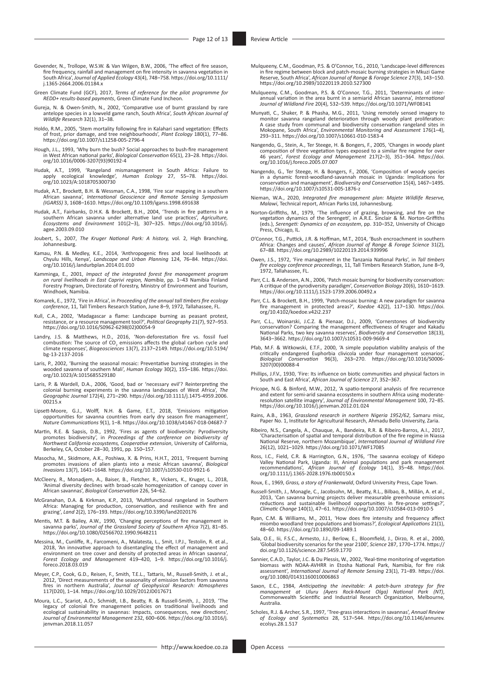- Govender, N., Trollope, W.S.W. & Van Wilgen, B.W., 2006, 'The effect of fire season, fire frequency, rainfall and management on fire intensity in savanna vegetation in South Africa', *Journal of Applied Ecology* 43(4), 748–758. [https://doi.org/10.1111/](https://doi.org/10.1111/j.1365-2664.2006.01184.x) [j.1365-2664.2006.01184.x](https://doi.org/10.1111/j.1365-2664.2006.01184.x)
- Green Climate Fund (GCF), 2017, *Terms of reference for the pilot programme for REDD+ results-based payments*, Green Climate Fund Incheon.
- Gureja, N. & Owen-Smith, N., 2002, 'Comparative use of burnt grassland by rare antelope species in a lowveld game ranch, South Africa', *South African Journal of Wildlife Research* 32(1), 31–38.
- Holdo, R.M., 2005, 'Stem mortality following fire in Kalahari sand vegetation: Effects of frost, prior damage, and tree neighbourhoods', *Plant Ecology* 180(1), 77–86. <https://doi.org/10.1007/s11258-005-2796-4>
- Hough, J.L., 1993, 'Why burn the bush? Social approaches to bush-fire management in West African national parks', *Biological Conservation* 65(1), 23–28. [https://doi.](https://doi.org/10.1016/0006-3207(93)90192-4) [org/10.1016/0006-3207\(93\)90192-4](https://doi.org/10.1016/0006-3207(93)90192-4)
- Hudak, A.T., 1999, 'Rangeland mismanagement in South Africa: Failure to apply ecological knowledge', *Human Ecology* 27, 55–78. [https://doi.](https://doi.org/10.1023/A:1018705300730) [org/10.1023/A:1018705300730](https://doi.org/10.1023/A:1018705300730)
- Hudak, A.T., Brockett, B.H. & Wessman, C.A., 1998, 'Fire scar mapping in a southern<br>African savanna', *International Geoscience and Remote Sensing Symposium*<br>(*IGARSS*) 3, 1608–1610. https://doi.org/10.1109/igarss.1998.691
- Hudak, A.T., Fairbanks, D.H.K. & Brockett, B.H., 2004, 'Trends in fire patterns in a southern African savanna under alternative land use practices', Agriculture, Ecosystems and Environment 101(2-3), 307-325. https://doi.or [agee.2003.09.010](https://doi.org/10.1016/j.agee.2003.09.010)
- Joubert, S., 2007, *The Kruger National Park: A history,* vol. 2, High Branching, Johannesburg.
- Kamau, P.N. & Medley, K.E., 2014, 'Anthropogenic fires and local livelihoods at Chyulu Hills, Kenya', *Landscape and Urban Planning* 124, 76–84. [https://doi.](https://doi.org/10.1016/j.landurbplan.2014.01.010) [org/10.1016/j.landurbplan.2014.01.010](https://doi.org/10.1016/j.landurbplan.2014.01.010)
- Kamminga, E., 2001, *Impact of the integrated forest fire management program*<br>on rural livelihoods in East Caprivi region, Namibia, pp. 1–43 Namibia Finland<br>Forestry Program, Directorate of Forestry, Ministry of Environmen Windhoek, Namibia.
- Komarek, E., 1972, 'Fire in Africa', in *Proceeding of the annual tall timbers fire ecology conference*, 11, Tall Timbers Research Station, June 8–9, 1972, Tallahassee, FL.
- Kull, C.A., 2002, 'Madagascar a flame: Landscape burning as peasant protest, resistance, or a resource management tool?', *Political Geography* 21(7), 927–953. [https://doi.org/10.1016/S0962-6298\(02\)00054-9](https://doi.org/10.1016/S0962-6298(02)00054-9)
- Landry, J.S. & Matthews, H.D., 2016, 'Non-deforestation fire vs. fossil fuel combustion: The source of CO<sub>2</sub> emissions affects the global carbon cycle and climate responses', *Biogeosciences* 13(7), 2137–2149. [https://doi.org/10.5194/](https://doi.org/10.5194/bg-13-2137-2016) [bg-13-2137-2016](https://doi.org/10.5194/bg-13-2137-2016)
- Laris, P., 2002, 'Burning the seasonal mosaic: Preventative burning strategies in the wooded savanna of southern Mali', *Human Ecology* 30(2), 155–186. [https://doi.](https://doi.org/10.1023/A:1015685529180) [org/10.1023/A:1015685529180](https://doi.org/10.1023/A:1015685529180)
- Laris, P. & Wardell, D.A., 2006, 'Good, bad or 'necessary evil'? Reinterpreting the colonial burning experiments in the savanna landscapes of West Africa', *The Geographic Journal* 172(4), 271–290. [https://doi.org/10.1111/j.1475-4959.2006.](https://doi.org/10.1111/j.1475-4959.2006.00215.x) [00215.x](https://doi.org/10.1111/j.1475-4959.2006.00215.x)
- Lipsett-Moore, G.J., Wolff, N.H. & Game, E.T., 2018, 'Emissions mitigation<br>opportunities for savanna countries from early dry season fire management',<br>Nature Communications 9(1), 1–8. https://doi.org/10.1038/s41467-018-046
- Martin, R.E. & Sapsis, D.B., 1992, 'Fires as agents of biodiversity: Pyrodiversity promotes biodiversity', in *Proceedings of the conference on biodiversity of Northwest California ecosystems, Cooperative extension*, University of California, Berkeley, CA, October 28–30, 1991, pp. 150–157.
- Masocha, M., Skidmore, A.K., Poshiwa, X. & Prins, H.H.T., 2011, 'Frequent burning<br>promotes invasions of alien plants into a mesic African savanna', *Biological*<br>lnvasions 13(7), 1641–1648. https://doi.org/10.1007/s10530-01
- McCleery, R., Monadjem, A., Baiser, B., Fletcher, R., Vickers, K., Kruger, L., 2018, 'Animal diversity declines with broad-scale homogenization of canopy cover in African savannas', *Biological Conservation* 226, 54–62.
- McGranahan, D.A. & Kirkman, K.P., 2013, 'Multifunctional rangeland in Southern<br>Africa: Managing for production, conservation, and resilience with fire and<br>grazing', Land 2(2), 176–193. <https://doi.org/10.3390/land2020176>
- Mentis, M.T. & Bailey, A.W., 1990, 'Changing perceptions of fire management in savanna parks', *Journal of the Grassland Society of Southern Africa* 7(2), 81–85. <https://doi.org/10.1080/02566702.1990.9648211>
- Messina, M., Cunliffe, R., Farcomeni, A., Malatesta, L., Smit, I.P.J., Testolin, R. et al., 2018, 'An innovative approach to disentangling the effect of management and environment on tree cover and density of protected areas in African savanna', *Forest Ecology and Management* 419–420, 1–9. [https://doi.org/10.1016/j.](https://doi.org/10.1016/j.foreco.2018.03.019) [foreco.2018.03.019](https://doi.org/10.1016/j.foreco.2018.03.019)
- Meyer, C.P., Cook, G.D., Reisen, F., Smith, T.E.L., Tattaris, M., Russell‐Smith, J. et al., 2012, 'Direct measurements of the seasonality of emission factors from savanna fires in northern Australia', *Journal of Geophysical Research: Atmospheres* 117(D20), 1–14. <https://doi.org/10.1029/2012JD017671>
- Moura, L.C., Scariot, A.O., Schmidt, I.B., Beatty, R. & Russell-Smith, J., 2019, 'The legacy of colonial fire management policies on traditional livelihoods and ecological sustainability in savannas: Impacts, consequences, *Journal of Environmental Management* 232, 600–606. [https://doi.org/10.1016/j.](https://doi.org/10.1016/j.jenvman.2018.11.057) [jenvman.2018.11.057](https://doi.org/10.1016/j.jenvman.2018.11.057)
- Mulqueeny, C.M., Goodman, P.S. & O'Connor, T.G., 2010, 'Landscape-level differences<br>in fire regime between block and patch-mosaic burning strategies in Mkuzi Game<br>Reserve, South Africa', African Journal of Range & Forage S
- Mulqueeny, C.M., Goodman, P.S. & O'Connor, T.G., 2011, 'Determinants of inter-annual variation in the area burnt in a semiarid African savanna', *International Journal of Wildland Fire* 20(4), 532–539.<https://doi.org/10.1071/WF08141>
- Munyati, C., Shaker, P. & Phasha, M.G., 2011, 'Using remotely sensed imagery to<br>monitor savanna rangeland deterioration through woody plant proliferation:<br>A case study from communal and biodiversity conservation rangeland Mokopane, South Africa', *Environmental Monitoring and Assessment* 176(1–4), 293–311.<https://doi.org/10.1007/s10661-010-1583-4>
- Nangendo, G., Stein, A., Ter Steege, H. & Bongers, F., 2005, 'Changes in woody plant composition of three vegetation types exposed to a similar fire regime for over 46 years', *Forest Ecology and Management* 217(2–3), 351–364. [https://doi.](https://doi.org/10.1016/j.foreco.2005.07.007) [org/10.1016/j.foreco.2005.07.007](https://doi.org/10.1016/j.foreco.2005.07.007)
- Nangendo, G., Ter Steege, H. & Bongers, F., 2006, 'Composition of woody species in a dynamic forest-woodland-savannah mosaic in Uganda: Implications for conservation and management', *Biodiversity and Conservation* 15(4), 1467–1495. <https://doi.org/10.1007/s10531-005-1876-z>
- Nieman, W.A., 2020, *Integrated fire management plan: Majete Wildlife Reserve, Malawi*, Technical report, African Parks Ltd, Johannesburg.
- Norton-Griffiths, M., 1979, 'The influence of grazing, browsing, and fire on the vegetation dynamics of the Serengeti', in A.R.E. Sinclair & M. Norton-Griffiths (eds.), *Serengeti: Dynamics of an ecosystem*, pp. 310–352, University of Chicago Press, Chicago, IL.
- O'Connor, T.G., Puttick, J.R. & Hoffman, M.T., 2014, 'Bush encroachment in southern Africa: Changes and causes', *African Journal of Range & Forage Science* 31(2), 67–88.<https://doi.org/10.2989/10220119.2014.939996>
- Owen, J.S., 1972, 'Fire management in the Tanzania National Parks', in *Tall timbers fire ecology conference proceedings*, 11, Tall Timbers Research Station, June 8–9, 1972, Tallahassee, FL.
- Parr, C.L. & Andersen, A.N., 2006, 'Patch mosaic burning for biodiversity conservation: A critique of the pyrodiversity paradigm', *Conservation Biology* 20(6), 1610–1619. <https://doi.org/10.1111/j.1523-1739.2006.00492.x>
- Parr, C.L. & Brockett, B.H., 1999, 'Patch-mosaic burning: A new paradigm for savanna fire management in protected areas?', *Koedoe* 42(2), 117–130. [https://doi.](https://doi.org/10.4102/koedoe.v42i2.237) [org/10.4102/koedoe.v42i2.237](https://doi.org/10.4102/koedoe.v42i2.237)
- Parr, C.L., Woinarski, J.C.Z. & Pienaar, D.J., 2009, 'Cornerstones of biodiversity conservation? Comparing the management effectiveness of Kruger and Kakadu National Parks, two key savanna reserves', *Biodiversity and Conservation* 18(13), 3643–3662.<https://doi.org/10.1007/s10531-009-9669-4>
- Pfab, M.F. & Witkowski, E.T.F., 2000, 'A simple population viability analysis of the critically endangered Euphorbia clivicola under four management scenarios', *Biological Conservation* 96(3), 263–270. [https://doi.org/10.1016/S0006-](https://doi.org/10.1016/S0006-3207(00)00088-4) [3207\(00\)00088-4](https://doi.org/10.1016/S0006-3207(00)00088-4)
- Phillips, J.F.V., 1930, 'Fire: Its influence on biotic communities and physical factors in South and East Africa', *African Journal of Science* 27, 352–367.
- Pricope, N.G. & Binford, M.W., 2012, 'A spatio-temporal analysis of fire recurrence and extent for semi-arid savanna ecosystems in southern Africa using moderate-<br>resolution satellite imagery', Journal of Environmental Management 100, 72–85.<br><https://doi.org/10.1016/j.jenvman.2012.01.024>
- Rains, A.B., 1963, *Grassland research in northern Nigeria 1952/62*, Samaru misc, Paper No. 1, Institute for Agricultural Research, Ahmadu Bello University, Zaria.
- Ribeiro, N.S., Cangela, A., Chauque, A., Bandeira, R.R. & Ribeiro-Barros, A.I., 2017 'Characterisation of spatial and temporal distribution of the fire regime in Niassa National Reserve, northern Mozambique', *International Journal of Wildland Fire* 26(12), 1021–1029.<https://doi.org/10.1071/WF17085>
- Ross, I.C., Field, C.R. & Harrington, G.N., 1976, 'The savanna ecology of Kidepo Valley National Park, Uganda: III, Animal populations and park management recommendations', *African Journal of Ecology* 14(1), 35–48. [https://doi.](https://doi.org/10.1111/j.1365-2028.1976.tb00150.x) [org/10.1111/j.1365-2028.1976.tb00150.x](https://doi.org/10.1111/j.1365-2028.1976.tb00150.x)
- Roux, E., 1969, *Grass, a story of Frankenwald*, Oxford University Press, Cape Town.
- Russell-Smith, J., Monagle, C., Jacobsohn, M., Beatty, R.L., Bilbao, B., Millán, A. et al., 2013, 'Can savanna burning projects deliver measurable greenhouse emissions reductions and sustainable livelihood opportunities in fire-prone settings?', *Climatic Change* 140(1), 47–61.<https://doi.org/10.1007/s10584-013-0910-5>
- Ryan, C.M. & Williams, M., 2011, 'How does fire intensity and frequency affect miombo woodland tree populations and biomass?', *Ecological Applications* 21(1), 48–60.<https://doi.org/10.1890/09-1489.1>
- Sala, O.E., Iii, F.S.C., Armesto, J.J., Berlow, E., Bloomfield, J., Dirzo, R. et al., 2000, 'Global biodiversity scenarios for the year 2100', *Science* 287, 1770–1774. [https://](https://doi.org/10.1126/science.287.5459.1770) [doi.org/10.1126/science.287.5459.1770](https://doi.org/10.1126/science.287.5459.1770)
- Sannier, C.A.D., Taylor, J.C. & Du Plessis, W., 2002, 'Real-time monitoring of vegetation biomass with NOAA-AVHRR in Etosha National Park, Namibia, for fire risk assessment', *International Journal of Remote Sensing* 23(1), 71–89. [https://doi.](https://doi.org/10.1080/01431160010006863) [org/10.1080/01431160010006863](https://doi.org/10.1080/01431160010006863)
- Saxon, E.C., 1984, Anticipating the inevitable: A patch-burn strategy for fire<br>management at Uluru (Ayers Rock-Mount Olga) National Park (NT),<br>Commonwealth Scientific and Industrial Research Organization, Melbourne, Australia.
- Scholes, R.J. & Archer, S.R., 1997, 'Tree-grass interactions in savannas', *Annual Review of Ecology and Systematics* 28, 517–544. [https://doi.org/10.1146/annurev.](https://doi.org/10.1146/annurev.ecolsys.28.1.517) [ecolsys.28.1.517](https://doi.org/10.1146/annurev.ecolsys.28.1.517)